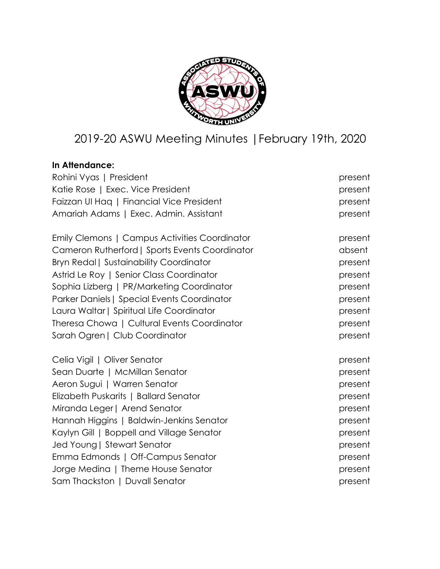

# 2019-20 ASWU Meeting Minutes |February 19th, 2020

# **In Attendance:**

| Rohini Vyas   President                        | present |
|------------------------------------------------|---------|
| Katie Rose   Exec. Vice President              | present |
| Faizzan UI Hag   Financial Vice President      | present |
| Amariah Adams   Exec. Admin. Assistant         | present |
| Emily Clemons   Campus Activities Coordinator  | present |
| Cameron Rutherford   Sports Events Coordinator | absent  |
| <b>Bryn Redal   Sustainability Coordinator</b> | present |
| Astrid Le Roy   Senior Class Coordinator       | present |
| Sophia Lizberg   PR/Marketing Coordinator      | present |
| Parker Daniels   Special Events Coordinator    | present |
| Laura Waltar   Spiritual Life Coordinator      | present |
| Theresa Chowa   Cultural Events Coordinator    | present |
| Sarah Ogren   Club Coordinator                 | present |
| Celia Vigil   Oliver Senator                   | present |
| Sean Duarte   McMillan Senator                 | present |
| Aeron Sugui   Warren Senator                   | present |
| Elizabeth Puskarits   Ballard Senator          | present |
| Miranda Leger   Arend Senator                  | present |
| Hannah Higgins   Baldwin-Jenkins Senator       | present |
| Kaylyn Gill   Boppell and Village Senator      | present |
| Jed Young   Stewart Senator                    | present |
| Emma Edmonds   Off-Campus Senator              | present |
| Jorge Medina   Theme House Senator             | present |
| Sam Thackston   Duvall Senator                 | present |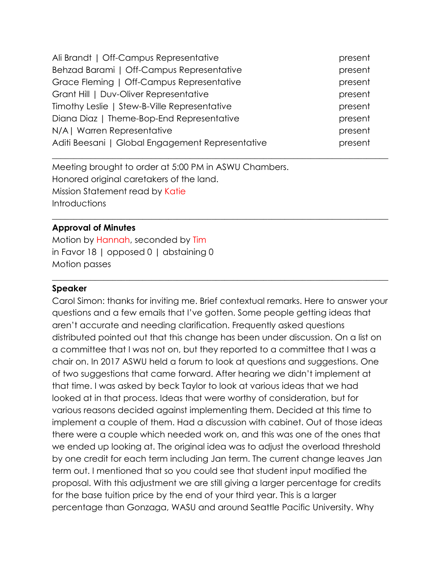| Ali Brandt   Off-Campus Representative           | present |
|--------------------------------------------------|---------|
| Behzad Barami   Off-Campus Representative        | present |
| Grace Fleming   Off-Campus Representative        | present |
| Grant Hill   Duv-Oliver Representative           | present |
| Timothy Leslie   Stew-B-Ville Representative     | present |
| Diana Diaz   Theme-Bop-End Representative        | present |
| N/A   Warren Representative                      | present |
| Aditi Beesani   Global Engagement Representative | present |
|                                                  |         |

 $\_$  , and the set of the set of the set of the set of the set of the set of the set of the set of the set of the set of the set of the set of the set of the set of the set of the set of the set of the set of the set of th

 $\_$  , and the set of the set of the set of the set of the set of the set of the set of the set of the set of the set of the set of the set of the set of the set of the set of the set of the set of the set of the set of th

Meeting brought to order at 5:00 PM in ASWU Chambers. Honored original caretakers of the land. Mission Statement read by Katie Introductions

#### **Approval of Minutes**

Motion by Hannah, seconded by Tim in Favor 18 | opposed 0 | abstaining 0 Motion passes

#### **Speaker**

Carol Simon: thanks for inviting me. Brief contextual remarks. Here to answer your questions and a few emails that I've gotten. Some people getting ideas that aren't accurate and needing clarification. Frequently asked questions distributed pointed out that this change has been under discussion. On a list on a committee that I was not on, but they reported to a committee that I was a chair on. In 2017 ASWU held a forum to look at questions and suggestions. One of two suggestions that came forward. After hearing we didn't implement at that time. I was asked by beck Taylor to look at various ideas that we had looked at in that process. Ideas that were worthy of consideration, but for various reasons decided against implementing them. Decided at this time to implement a couple of them. Had a discussion with cabinet. Out of those ideas there were a couple which needed work on, and this was one of the ones that we ended up looking at. The original idea was to adjust the overload threshold by one credit for each term including Jan term. The current change leaves Jan term out. I mentioned that so you could see that student input modified the proposal. With this adjustment we are still giving a larger percentage for credits for the base tuition price by the end of your third year. This is a larger percentage than Gonzaga, WASU and around Seattle Pacific University. Why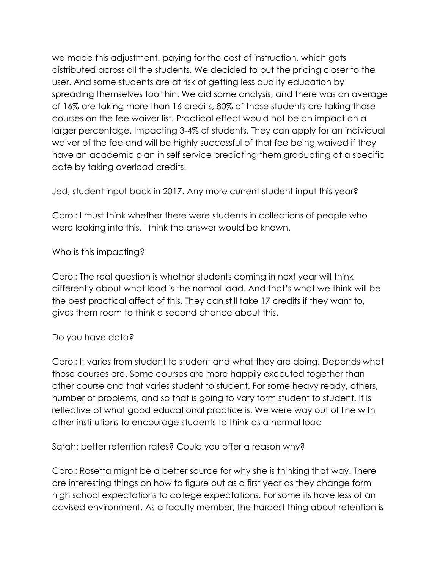we made this adjustment. paying for the cost of instruction, which gets distributed across all the students. We decided to put the pricing closer to the user. And some students are at risk of getting less quality education by spreading themselves too thin. We did some analysis, and there was an average of 16% are taking more than 16 credits, 80% of those students are taking those courses on the fee waiver list. Practical effect would not be an impact on a larger percentage. Impacting 3-4% of students. They can apply for an individual waiver of the fee and will be highly successful of that fee being waived if they have an academic plan in self service predicting them graduating at a specific date by taking overload credits.

Jed; student input back in 2017. Any more current student input this year?

Carol: I must think whether there were students in collections of people who were looking into this. I think the answer would be known.

# Who is this impacting?

Carol: The real question is whether students coming in next year will think differently about what load is the normal load. And that's what we think will be the best practical affect of this. They can still take 17 credits if they want to, gives them room to think a second chance about this.

# Do you have data?

Carol: It varies from student to student and what they are doing. Depends what those courses are. Some courses are more happily executed together than other course and that varies student to student. For some heavy ready, others, number of problems, and so that is going to vary form student to student. It is reflective of what good educational practice is. We were way out of line with other institutions to encourage students to think as a normal load

Sarah: better retention rates? Could you offer a reason why?

Carol: Rosetta might be a better source for why she is thinking that way. There are interesting things on how to figure out as a first year as they change form high school expectations to college expectations. For some its have less of an advised environment. As a faculty member, the hardest thing about retention is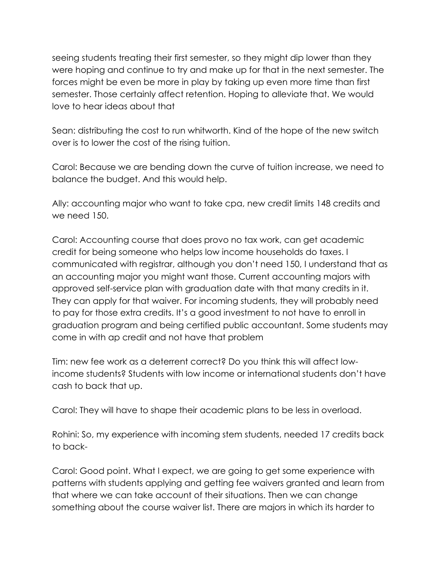seeing students treating their first semester, so they might dip lower than they were hoping and continue to try and make up for that in the next semester. The forces might be even be more in play by taking up even more time than first semester. Those certainly affect retention. Hoping to alleviate that. We would love to hear ideas about that

Sean: distributing the cost to run whitworth. Kind of the hope of the new switch over is to lower the cost of the rising tuition.

Carol: Because we are bending down the curve of tuition increase, we need to balance the budget. And this would help.

Ally: accounting major who want to take cpa, new credit limits 148 credits and we need 150.

Carol: Accounting course that does provo no tax work, can get academic credit for being someone who helps low income households do taxes. I communicated with registrar, although you don't need 150, I understand that as an accounting major you might want those. Current accounting majors with approved self-service plan with graduation date with that many credits in it. They can apply for that waiver. For incoming students, they will probably need to pay for those extra credits. It's a good investment to not have to enroll in graduation program and being certified public accountant. Some students may come in with ap credit and not have that problem

Tim: new fee work as a deterrent correct? Do you think this will affect lowincome students? Students with low income or international students don't have cash to back that up.

Carol: They will have to shape their academic plans to be less in overload.

Rohini: So, my experience with incoming stem students, needed 17 credits back to back-

Carol: Good point. What I expect, we are going to get some experience with patterns with students applying and getting fee waivers granted and learn from that where we can take account of their situations. Then we can change something about the course waiver list. There are majors in which its harder to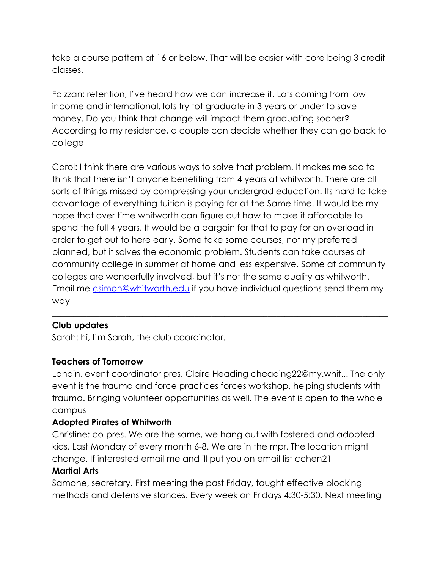take a course pattern at 16 or below. That will be easier with core being 3 credit classes.

Faizzan: retention, I've heard how we can increase it. Lots coming from low income and international, lots try tot graduate in 3 years or under to save money. Do you think that change will impact them graduating sooner? According to my residence, a couple can decide whether they can go back to college

Carol: I think there are various ways to solve that problem. It makes me sad to think that there isn't anyone benefiting from 4 years at whitworth. There are all sorts of things missed by compressing your undergrad education. Its hard to take advantage of everything tuition is paying for at the Same time. It would be my hope that over time whitworth can figure out haw to make it affordable to spend the full 4 years. It would be a bargain for that to pay for an overload in order to get out to here early. Some take some courses, not my preferred planned, but it solves the economic problem. Students can take courses at community college in summer at home and less expensive. Some at community colleges are wonderfully involved, but it's not the same quality as whitworth. Email me csimon@whitworth.edu if you have individual questions send them my way

 $\_$  , and the set of the set of the set of the set of the set of the set of the set of the set of the set of the set of the set of the set of the set of the set of the set of the set of the set of the set of the set of th

# **Club updates**

Sarah: hi, I'm Sarah, the club coordinator.

#### **Teachers of Tomorrow**

Landin, event coordinator pres. Claire Heading cheading22@my.whit... The only event is the trauma and force practices forces workshop, helping students with trauma. Bringing volunteer opportunities as well. The event is open to the whole campus

#### **Adopted Pirates of Whitworth**

Christine: co-pres. We are the same, we hang out with fostered and adopted kids. Last Monday of every month 6-8. We are in the mpr. The location might change. If interested email me and ill put you on email list cchen21

#### **Martial Arts**

Samone, secretary. First meeting the past Friday, taught effective blocking methods and defensive stances. Every week on Fridays 4:30-5:30. Next meeting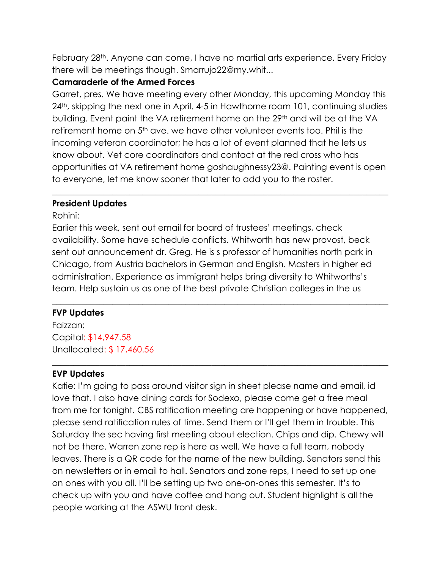February 28th. Anyone can come, I have no martial arts experience. Every Friday there will be meetings though. Smarrujo22@my.whit...

### **Camaraderie of the Armed Forces**

Garret, pres. We have meeting every other Monday, this upcoming Monday this 24<sup>th</sup>, skipping the next one in April. 4-5 in Hawthorne room 101, continuing studies building. Event paint the VA retirement home on the 29th and will be at the VA retirement home on 5<sup>th</sup> ave, we have other volunteer events too. Phil is the incoming veteran coordinator; he has a lot of event planned that he lets us know about. Vet core coordinators and contact at the red cross who has opportunities at VA retirement home goshaughnessy23@. Painting event is open to everyone, let me know sooner that later to add you to the roster.

 $\_$  , and the set of the set of the set of the set of the set of the set of the set of the set of the set of the set of the set of the set of the set of the set of the set of the set of the set of the set of the set of th

## **President Updates**

Rohini:

Earlier this week, sent out email for board of trustees' meetings, check availability. Some have schedule conflicts. Whitworth has new provost, beck sent out announcement dr. Greg. He is s professor of humanities north park in Chicago, from Austria bachelors in German and English. Masters in higher ed administration. Experience as immigrant helps bring diversity to Whitworths's team. Help sustain us as one of the best private Christian colleges in the us

 $\_$  , and the set of the set of the set of the set of the set of the set of the set of the set of the set of the set of the set of the set of the set of the set of the set of the set of the set of the set of the set of th

\_\_\_\_\_\_\_\_\_\_\_\_\_\_\_\_\_\_\_\_\_\_\_\_\_\_\_\_\_\_\_\_\_\_\_\_\_\_\_\_\_\_\_\_\_\_\_\_\_\_\_\_\_\_\_\_\_\_\_\_\_\_\_\_\_\_\_\_\_\_\_\_\_\_\_\_\_\_

# **FVP Updates**

Faizzan: Capital: \$14,947.58 Unallocated: \$ 17,460.56

# **EVP Updates**

Katie: I'm going to pass around visitor sign in sheet please name and email, id love that. I also have dining cards for Sodexo, please come get a free meal from me for tonight. CBS ratification meeting are happening or have happened, please send ratification rules of time. Send them or I'll get them in trouble. This Saturday the sec having first meeting about election. Chips and dip. Chewy will not be there. Warren zone rep is here as well. We have a full team, nobody leaves. There is a QR code for the name of the new building. Senators send this on newsletters or in email to hall. Senators and zone reps, I need to set up one on ones with you all. I'll be setting up two one-on-ones this semester. It's to check up with you and have coffee and hang out. Student highlight is all the people working at the ASWU front desk.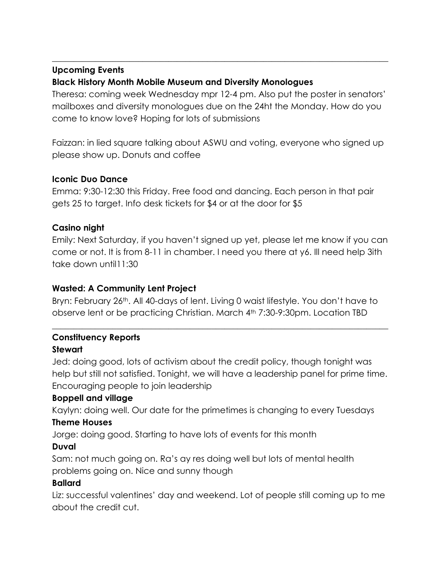# **Upcoming Events Black History Month Mobile Museum and Diversity Monologues**

Theresa: coming week Wednesday mpr 12-4 pm. Also put the poster in senators' mailboxes and diversity monologues due on the 24ht the Monday. How do you come to know love? Hoping for lots of submissions

 $\_$  , and the set of the set of the set of the set of the set of the set of the set of the set of the set of the set of the set of the set of the set of the set of the set of the set of the set of the set of the set of th

Faizzan: in lied square talking about ASWU and voting, everyone who signed up please show up. Donuts and coffee

# **Iconic Duo Dance**

Emma: 9:30-12:30 this Friday. Free food and dancing. Each person in that pair gets 25 to target. Info desk tickets for \$4 or at the door for \$5

# **Casino night**

Emily: Next Saturday, if you haven't signed up yet, please let me know if you can come or not. It is from 8-11 in chamber. I need you there at y6. Ill need help 3ith take down until11:30

# **Wasted: A Community Lent Project**

Bryn: February 26<sup>th</sup>. All 40-days of lent. Living 0 waist lifestyle. You don't have to observe lent or be practicing Christian. March 4th 7:30-9:30pm. Location TBD

 $\_$  , and the set of the set of the set of the set of the set of the set of the set of the set of the set of the set of the set of the set of the set of the set of the set of the set of the set of the set of the set of th

#### **Constituency Reports Stewart**

Jed: doing good, lots of activism about the credit policy, though tonight was help but still not satisfied. Tonight, we will have a leadership panel for prime time. Encouraging people to join leadership

# **Boppell and village**

Kaylyn: doing well. Our date for the primetimes is changing to every Tuesdays

# **Theme Houses**

Jorge: doing good. Starting to have lots of events for this month

# **Duval**

Sam: not much going on. Ra's ay res doing well but lots of mental health problems going on. Nice and sunny though

# **Ballard**

Liz: successful valentines' day and weekend. Lot of people still coming up to me about the credit cut.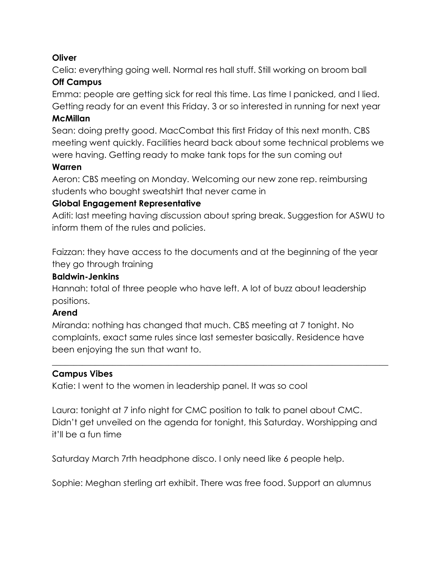## **Oliver**

Celia: everything going well. Normal res hall stuff. Still working on broom ball

# **Off Campus**

Emma: people are getting sick for real this time. Las time I panicked, and I lied. Getting ready for an event this Friday. 3 or so interested in running for next year

## **McMillan**

Sean: doing pretty good. MacCombat this first Friday of this next month. CBS meeting went quickly. Facilities heard back about some technical problems we were having. Getting ready to make tank tops for the sun coming out

## **Warren**

Aeron: CBS meeting on Monday. Welcoming our new zone rep. reimbursing students who bought sweatshirt that never came in

# **Global Engagement Representative**

Aditi: last meeting having discussion about spring break. Suggestion for ASWU to inform them of the rules and policies.

Faizzan: they have access to the documents and at the beginning of the year they go through training

## **Baldwin-Jenkins**

Hannah: total of three people who have left. A lot of buzz about leadership positions.

# **Arend**

Miranda: nothing has changed that much. CBS meeting at 7 tonight. No complaints, exact same rules since last semester basically. Residence have been enjoying the sun that want to.

\_\_\_\_\_\_\_\_\_\_\_\_\_\_\_\_\_\_\_\_\_\_\_\_\_\_\_\_\_\_\_\_\_\_\_\_\_\_\_\_\_\_\_\_\_\_\_\_\_\_\_\_\_\_\_\_\_\_\_\_\_\_\_\_\_\_\_\_\_\_\_\_\_\_\_\_\_\_

# **Campus Vibes**

Katie: I went to the women in leadership panel. It was so cool

Laura: tonight at 7 info night for CMC position to talk to panel about CMC. Didn't get unveiled on the agenda for tonight, this Saturday. Worshipping and it'll be a fun time

Saturday March 7rth headphone disco. I only need like 6 people help.

Sophie: Meghan sterling art exhibit. There was free food. Support an alumnus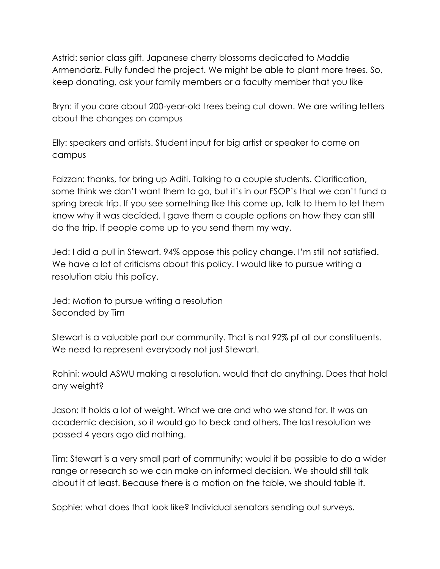Astrid: senior class gift. Japanese cherry blossoms dedicated to Maddie Armendariz. Fully funded the project. We might be able to plant more trees. So, keep donating, ask your family members or a faculty member that you like

Bryn: if you care about 200-year-old trees being cut down. We are writing letters about the changes on campus

Elly: speakers and artists. Student input for big artist or speaker to come on campus

Faizzan: thanks, for bring up Aditi. Talking to a couple students. Clarification, some think we don't want them to go, but it's in our FSOP's that we can't fund a spring break trip. If you see something like this come up, talk to them to let them know why it was decided. I gave them a couple options on how they can still do the trip. If people come up to you send them my way.

Jed: I did a pull in Stewart. 94% oppose this policy change. I'm still not satisfied. We have a lot of criticisms about this policy. I would like to pursue writing a resolution abiu this policy.

Jed: Motion to pursue writing a resolution Seconded by Tim

Stewart is a valuable part our community. That is not 92% pf all our constituents. We need to represent everybody not just Stewart.

Rohini: would ASWU making a resolution, would that do anything. Does that hold any weight?

Jason: It holds a lot of weight. What we are and who we stand for. It was an academic decision, so it would go to beck and others. The last resolution we passed 4 years ago did nothing.

Tim: Stewart is a very small part of community; would it be possible to do a wider range or research so we can make an informed decision. We should still talk about it at least. Because there is a motion on the table, we should table it.

Sophie: what does that look like? Individual senators sending out surveys.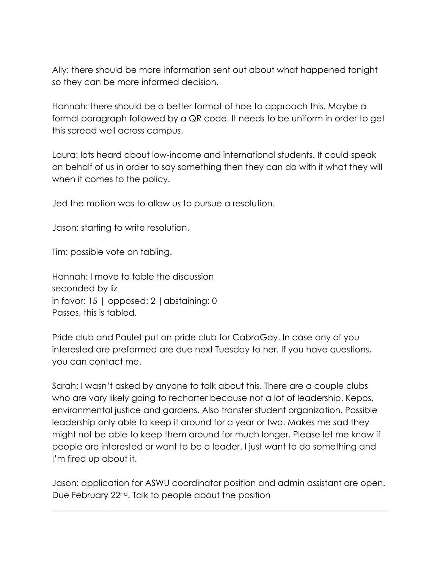Ally: there should be more information sent out about what happened tonight so they can be more informed decision.

Hannah: there should be a better format of hoe to approach this. Maybe a formal paragraph followed by a QR code. It needs to be uniform in order to get this spread well across campus.

Laura: lots heard about low-income and international students. It could speak on behalf of us in order to say something then they can do with it what they will when it comes to the policy.

Jed the motion was to allow us to pursue a resolution.

Jason: starting to write resolution.

Tim: possible vote on tabling.

Hannah: I move to table the discussion seconded by liz in favor: 15 | opposed: 2 |abstaining: 0 Passes, this is tabled.

Pride club and Paulet put on pride club for CabraGay. In case any of you interested are preformed are due next Tuesday to her. If you have questions, you can contact me.

Sarah: I wasn't asked by anyone to talk about this. There are a couple clubs who are vary likely going to recharter because not a lot of leadership. Kepos, environmental justice and gardens. Also transfer student organization. Possible leadership only able to keep it around for a year or two. Makes me sad they might not be able to keep them around for much longer. Please let me know if people are interested or want to be a leader. I just want to do something and I'm fired up about it.

Jason: application for ASWU coordinator position and admin assistant are open. Due February 22nd. Talk to people about the position

 $\_$  , and the set of the set of the set of the set of the set of the set of the set of the set of the set of the set of the set of the set of the set of the set of the set of the set of the set of the set of the set of th